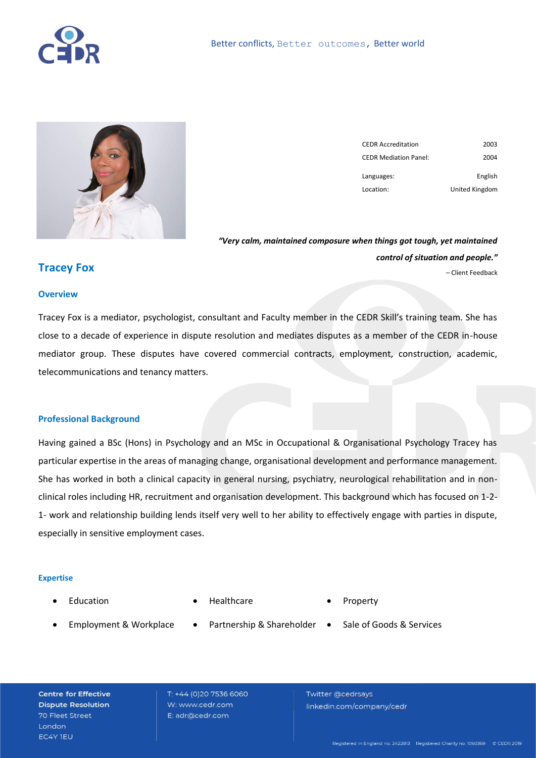



| <b>CEDR Accreditation</b>    | 2003           |
|------------------------------|----------------|
| <b>CEDR Mediation Panel:</b> | 2004           |
| Languages:                   | English        |
| Location:                    | United Kingdom |

*"Very calm, maintained composure when things got tough, yet maintained control of situation and people."*  – Client Feedback

## **Tracey Fox**

#### **Overview**

Tracey Fox is a mediator, psychologist, consultant and Faculty member in the CEDR Skill's training team. She has close to a decade of experience in dispute resolution and mediates disputes as a member of the CEDR in-house mediator group. These disputes have covered commercial contracts, employment, construction, academic, telecommunications and tenancy matters.

#### **Professional Background**

Having gained a BSc (Hons) in Psychology and an MSc in Occupational & Organisational Psychology Tracey has particular expertise in the areas of managing change, organisational development and performance management. She has worked in both a clinical capacity in general nursing, psychiatry, neurological rehabilitation and in nonclinical roles including HR, recruitment and organisation development. This background which has focused on 1-2- 1- work and relationship building lends itself very well to her ability to effectively engage with parties in dispute, especially in sensitive employment cases.

#### **Expertise**

**Education** 

- Healthcare
- **Property**
- Employment & Workplace
- 
- 
- Partnership & Shareholder . Sale of Goods & Services
- 

**Centre for Effective Dispute Resolution** 70 Fleet Street London EC4Y IEU

T: +44 (0)20 7536 6060 W: www.cedr.com E: adr@cedr.com

Twitter @cedrsays linkedin.com/company/cedr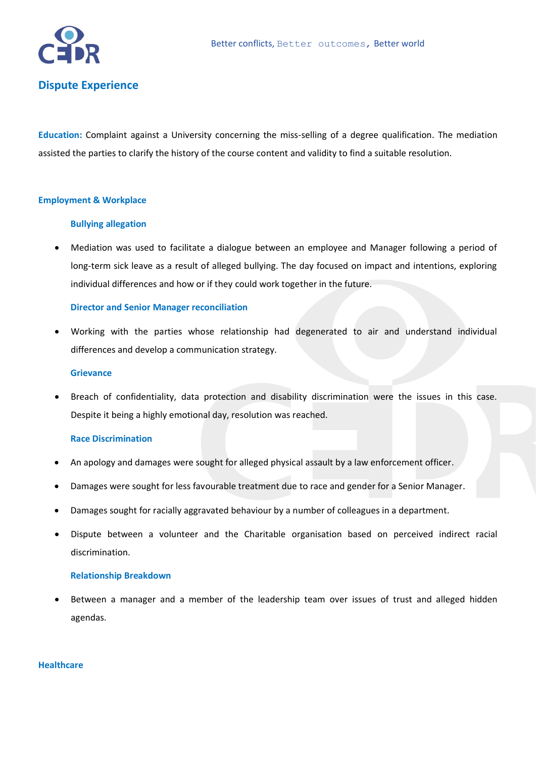

# **Dispute Experience**

**Education:** Complaint against a University concerning the miss-selling of a degree qualification. The mediation assisted the parties to clarify the history of the course content and validity to find a suitable resolution.

### **Employment & Workplace**

### **Bullying allegation**

• Mediation was used to facilitate a dialogue between an employee and Manager following a period of long-term sick leave as a result of alleged bullying. The day focused on impact and intentions, exploring individual differences and how or if they could work together in the future.

### **Director and Senior Manager reconciliation**

• Working with the parties whose relationship had degenerated to air and understand individual differences and develop a communication strategy.

#### **Grievance**

• Breach of confidentiality, data protection and disability discrimination were the issues in this case. Despite it being a highly emotional day, resolution was reached.

### **Race Discrimination**

- An apology and damages were sought for alleged physical assault by a law enforcement officer.
- Damages were sought for less favourable treatment due to race and gender for a Senior Manager.
- Damages sought for racially aggravated behaviour by a number of colleagues in a department.
- Dispute between a volunteer and the Charitable organisation based on perceived indirect racial discrimination.

### **Relationship Breakdown**

Between a manager and a member of the leadership team over issues of trust and alleged hidden agendas.

### **Healthcare**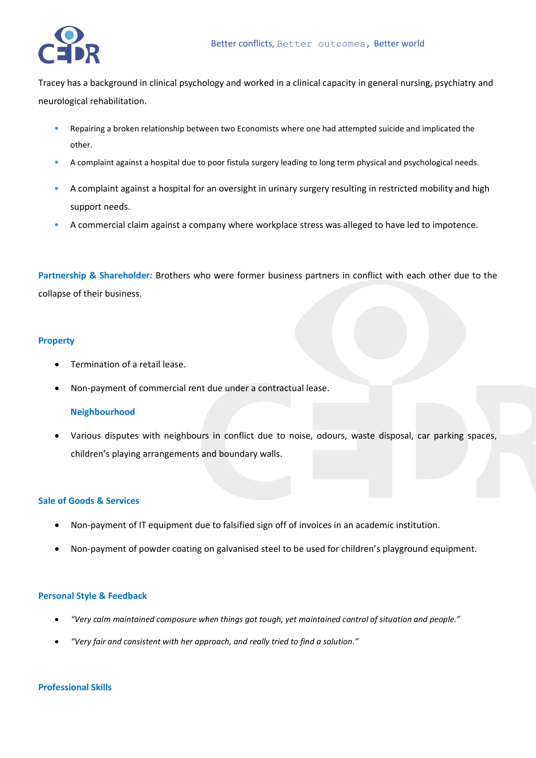

Tracey has a background in clinical psychology and worked in a clinical capacity in general nursing, psychiatry and neurological rehabilitation.

- Repairing a broken relationship between two Economists where one had attempted suicide and implicated the other.
- A complaint against a hospital due to poor fistula surgery leading to long term physical and psychological needs.
- A complaint against a hospital for an oversight in urinary surgery resulting in restricted mobility and high support needs.
- A commercial claim against a company where workplace stress was alleged to have led to impotence.

**Partnership & Shareholder:** Brothers who were former business partners in conflict with each other due to the collapse of their business.

### **Property**

- Termination of a retail lease.
- Non-payment of commercial rent due under a contractual lease.

### **Neighbourhood**

• Various disputes with neighbours in conflict due to noise, odours, waste disposal, car parking spaces, children's playing arrangements and boundary walls.

### **Sale of Goods & Services**

- Non-payment of IT equipment due to falsified sign off of invoices in an academic institution.
- Non-payment of powder coating on galvanised steel to be used for children's playground equipment.

### **Personal Style & Feedback**

- *"Very calm maintained composure when things got tough, yet maintained control of situation and people."*
- *"Very fair and consistent with her approach, and really tried to find a solution."*

### **Professional Skills**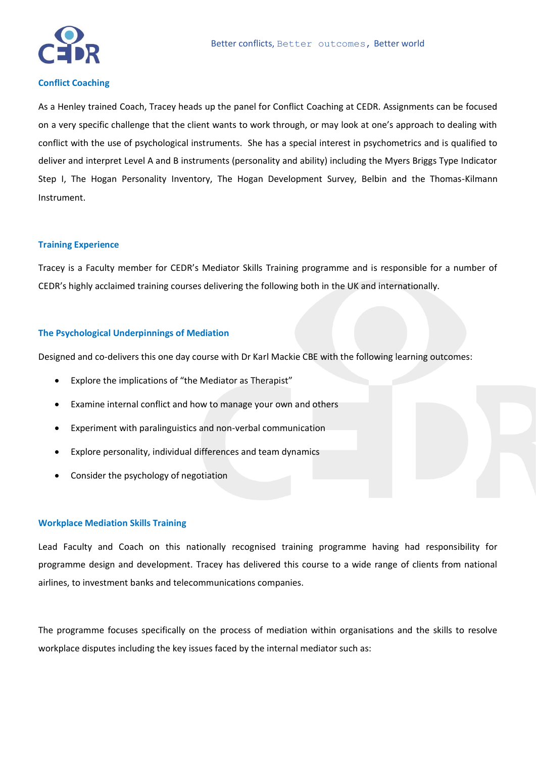

#### **Conflict Coaching**

As a Henley trained Coach, Tracey heads up the panel for Conflict Coaching at CEDR. Assignments can be focused on a very specific challenge that the client wants to work through, or may look at one's approach to dealing with conflict with the use of psychological instruments. She has a special interest in psychometrics and is qualified to deliver and interpret Level A and B instruments (personality and ability) including the Myers Briggs Type Indicator Step I, The Hogan Personality Inventory, The Hogan Development Survey, Belbin and the Thomas-Kilmann Instrument.

#### **Training Experience**

Tracey is a Faculty member for CEDR's Mediator Skills Training programme and is responsible for a number of CEDR's highly acclaimed training courses delivering the following both in the UK and internationally.

#### **The Psychological Underpinnings of Mediation**

Designed and co-delivers this one day course with Dr Karl Mackie CBE with the following learning outcomes:

- Explore the implications of "the Mediator as Therapist"
- Examine internal conflict and how to manage your own and others
- Experiment with paralinguistics and non-verbal communication
- Explore personality, individual differences and team dynamics
- Consider the psychology of negotiation

#### **Workplace Mediation Skills Training**

Lead Faculty and Coach on this nationally recognised training programme having had responsibility for programme design and development. Tracey has delivered this course to a wide range of clients from national airlines, to investment banks and telecommunications companies.

The programme focuses specifically on the process of mediation within organisations and the skills to resolve workplace disputes including the key issues faced by the internal mediator such as: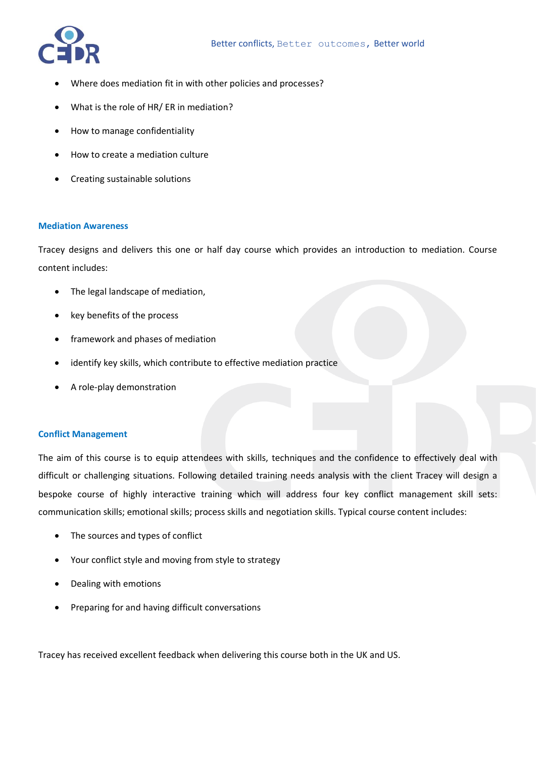

- Where does mediation fit in with other policies and processes?
- What is the role of HR/ ER in mediation?
- How to manage confidentiality
- How to create a mediation culture
- Creating sustainable solutions

#### **Mediation Awareness**

Tracey designs and delivers this one or half day course which provides an introduction to mediation. Course content includes:

- The legal landscape of mediation,
- key benefits of the process
- framework and phases of mediation
- identify key skills, which contribute to effective mediation practice
- A role-play demonstration

#### **Conflict Management**

The aim of this course is to equip attendees with skills, techniques and the confidence to effectively deal with difficult or challenging situations. Following detailed training needs analysis with the client Tracey will design a bespoke course of highly interactive training which will address four key conflict management skill sets: communication skills; emotional skills; process skills and negotiation skills. Typical course content includes:

- The sources and types of conflict
- Your conflict style and moving from style to strategy
- Dealing with emotions
- Preparing for and having difficult conversations

Tracey has received excellent feedback when delivering this course both in the UK and US.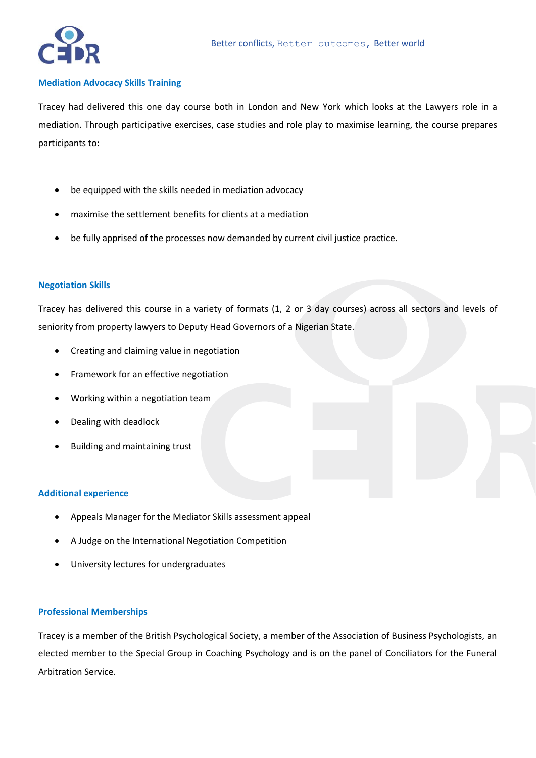

#### **Mediation Advocacy Skills Training**

Tracey had delivered this one day course both in London and New York which looks at the Lawyers role in a mediation. Through participative exercises, case studies and role play to maximise learning, the course prepares participants to:

- be equipped with the skills needed in mediation advocacy
- maximise the settlement benefits for clients at a mediation
- be fully apprised of the processes now demanded by current civil justice practice.

### **Negotiation Skills**

Tracey has delivered this course in a variety of formats (1, 2 or 3 day courses) across all sectors and levels of seniority from property lawyers to Deputy Head Governors of a Nigerian State.

- Creating and claiming value in negotiation
- Framework for an effective negotiation
- Working within a negotiation team
- Dealing with deadlock
- Building and maintaining trust

### **Additional experience**

- Appeals Manager for the Mediator Skills assessment appeal
- A Judge on the International Negotiation Competition
- University lectures for undergraduates

### **Professional Memberships**

Tracey is a member of the British Psychological Society, a member of the Association of Business Psychologists, an elected member to the Special Group in Coaching Psychology and is on the panel of Conciliators for the Funeral Arbitration Service.